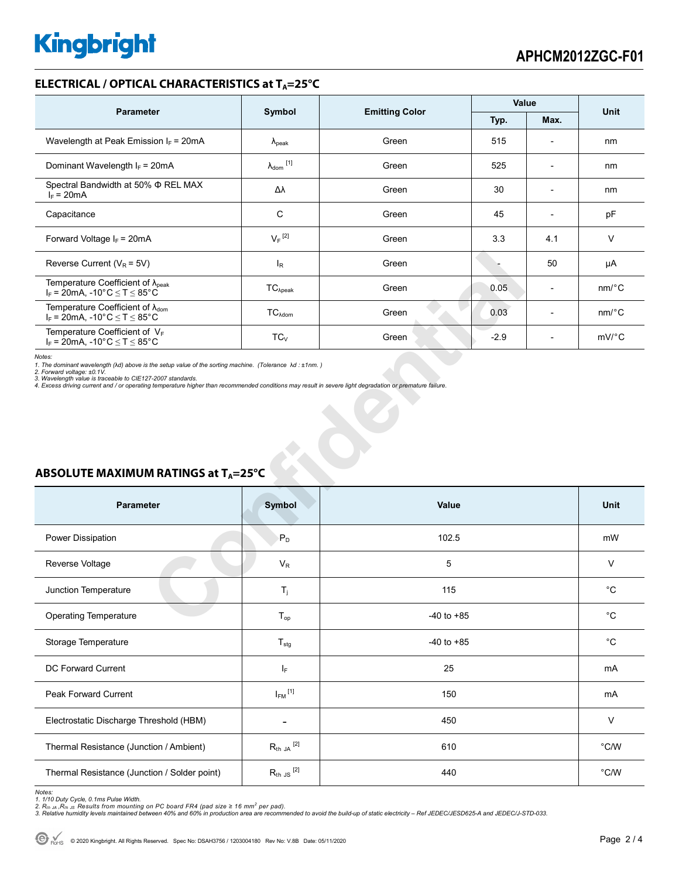## **ELECTRICAL / OPTICAL CHARACTERISTICS at T<sub>A</sub>=25°C**

| <b>Parameter</b>                                                                              | Symbol               | <b>Emitting Color</b> | Value  |                          | <b>Unit</b>           |
|-----------------------------------------------------------------------------------------------|----------------------|-----------------------|--------|--------------------------|-----------------------|
|                                                                                               |                      |                       | Typ.   | Max.                     |                       |
| Wavelength at Peak Emission $I_F$ = 20mA                                                      | $\lambda_{\rm peak}$ | Green                 | 515    | $\overline{\phantom{0}}$ | nm                    |
| Dominant Wavelength $I_F = 20mA$                                                              | $\lambda_{dom}$ [1]  | Green                 | 525    | $\overline{a}$           | nm                    |
| Spectral Bandwidth at 50% $\Phi$ REL MAX<br>$I_F = 20mA$                                      | Δλ                   | Green                 | 30     | $\overline{\phantom{a}}$ | nm                    |
| Capacitance                                                                                   | C                    | Green                 | 45     | $\overline{\phantom{a}}$ | pF                    |
| Forward Voltage $I_F$ = 20mA                                                                  | $V_F$ <sup>[2]</sup> | Green                 | 3.3    | 4.1                      | V                     |
| Reverse Current ( $V_R$ = 5V)                                                                 | $I_R$                | Green                 |        | 50                       | μA                    |
| Temperature Coefficient of $\lambda_{\text{peak}}$<br>$I_F$ = 20mA, -10°C $\leq T \leq 85$ °C | $TC_{\lambda peak}$  | Green                 | 0.05   | $\overline{\phantom{0}}$ | $nm$ /°C              |
| Temperature Coefficient of $\lambda_{\text{dom}}$<br>$I_F$ = 20mA, -10°C $\leq T \leq 85$ °C  | $TC_{\lambda dom}$   | Green                 | 0.03   | $\overline{\phantom{a}}$ | $nm$ <sup>o</sup> $C$ |
| Temperature Coefficient of $V_F$<br>$I_F$ = 20mA, -10°C $\leq T \leq 85$ °C                   | $TC_{V}$             | Green                 | $-2.9$ | $\overline{\phantom{0}}$ | $mV$ °C               |

| Reverse Current ( $V_R$ = 5V)                                                                                                                                                                                                                                                                                                                                                                                                              | $I_R$                   | Green          |        | 50             | μA                    |  |  |  |
|--------------------------------------------------------------------------------------------------------------------------------------------------------------------------------------------------------------------------------------------------------------------------------------------------------------------------------------------------------------------------------------------------------------------------------------------|-------------------------|----------------|--------|----------------|-----------------------|--|--|--|
| Temperature Coefficient of $\lambda_{peak}$<br>$I_F = 20$ mA, -10°C $\le T \le 85$ °C                                                                                                                                                                                                                                                                                                                                                      | $TC_{\lambda peak}$     | Green          | 0.05   | $\overline{a}$ | $nm$ <sup>o</sup> $C$ |  |  |  |
| Temperature Coefficient of $\lambda_{\text{dom}}$<br>$I_F$ = 20mA, -10°C $\leq$ T $\leq$ 85°C                                                                                                                                                                                                                                                                                                                                              | $TC_{\lambda dom}$      | Green          | 0.03   | $\overline{a}$ | $nm$ <sup>o</sup> $C$ |  |  |  |
| Temperature Coefficient of VF<br>$I_F = 20$ mA, -10°C $\le T \le 85$ °C                                                                                                                                                                                                                                                                                                                                                                    | $TC_V$                  | Green          | $-2.9$ | $\overline{a}$ | $mV$ <sup>o</sup> $C$ |  |  |  |
| Notes:<br>1. The dominant wavelength (Ad) above is the setup value of the sorting machine. (Tolerance $\lambda d : \pm 1nm$ .)<br>2. Forward voltage: ±0.1V.<br>3. Wavelength value is traceable to CIE127-2007 standards.<br>4. Excess driving current and / or operating temperature higher than recommended conditions may result in severe light degradation or premature failure.<br>ABSOLUTE MAXIMUM RATINGS at T <sub>A</sub> =25°C |                         |                |        |                |                       |  |  |  |
| <b>Parameter</b>                                                                                                                                                                                                                                                                                                                                                                                                                           | <b>Symbol</b>           | Value          |        |                | Unit                  |  |  |  |
|                                                                                                                                                                                                                                                                                                                                                                                                                                            |                         |                |        |                |                       |  |  |  |
| Power Dissipation                                                                                                                                                                                                                                                                                                                                                                                                                          | $P_D$                   | 102.5          |        |                | mW                    |  |  |  |
| Reverse Voltage                                                                                                                                                                                                                                                                                                                                                                                                                            | $V_{R}$                 | 5              |        |                | $\vee$                |  |  |  |
| Junction Temperature                                                                                                                                                                                                                                                                                                                                                                                                                       | $T_i$                   | 115            |        |                | $^{\circ}C$           |  |  |  |
| <b>Operating Temperature</b>                                                                                                                                                                                                                                                                                                                                                                                                               | $T_{op}$                | $-40$ to $+85$ |        |                | $^{\circ}C$           |  |  |  |
| Storage Temperature                                                                                                                                                                                                                                                                                                                                                                                                                        | $T_{\text{stg}}$        | $-40$ to $+85$ |        |                | $^{\circ}C$           |  |  |  |
| DC Forward Current                                                                                                                                                                                                                                                                                                                                                                                                                         | IF.                     | 25             |        |                | mA                    |  |  |  |
| <b>Peak Forward Current</b>                                                                                                                                                                                                                                                                                                                                                                                                                | $I_{FM}$ <sup>[1]</sup> | 150            |        |                | mA                    |  |  |  |
| Electrostatic Discharge Threshold (HBM)                                                                                                                                                                                                                                                                                                                                                                                                    | ÷                       | 450            |        |                | $\vee$                |  |  |  |
| Thermal Resistance (Junction / Ambient)                                                                                                                                                                                                                                                                                                                                                                                                    | $R_{th}$ JA $^{[2]}$    | 610            |        |                | °C/W                  |  |  |  |

# **ABSOLUTE MAXIMUM RATINGS at T<sub>A</sub>=25°C**

Notes:<br>1. 1/10 Duty Cycle, 0.1ms Pulse Width.<br>2. R<sub>th JA</sub> ,R<sub>th JS</sub> Results from mounting on PC board FR4 (pad size ≥ 16 mm<sup>2</sup> per pad).<br>3. Relative humidity levels maintained between 40% and 60% in production area are re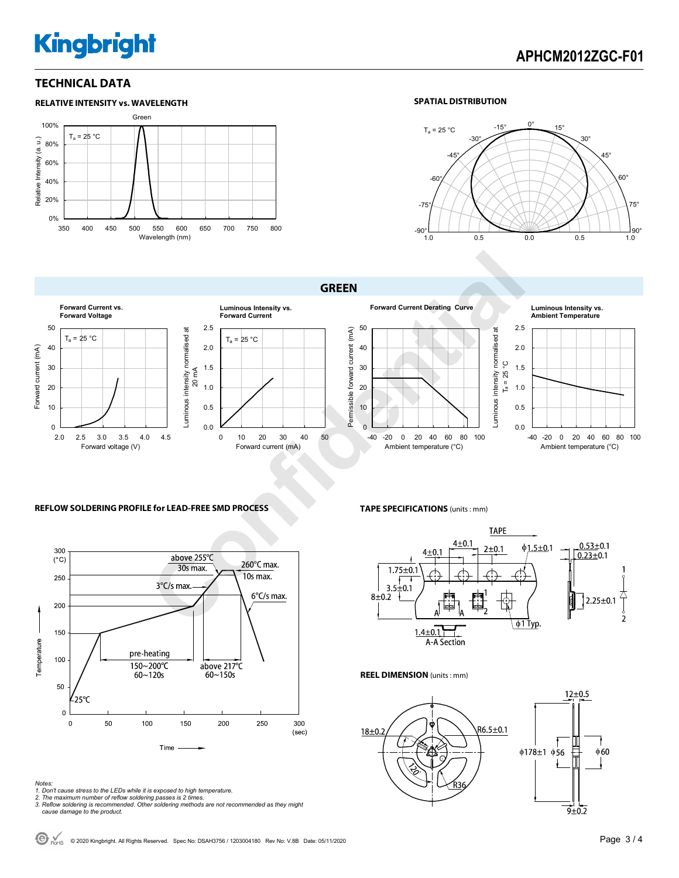# **Kingbright**

# **APHCM2012ZGC-F01**

## **TECHNICAL DATA**



### **SPATIAL DISTRIBUTION**



**GREEN** 



### **REFLOW SOLDERING PROFILE for LEAD-FREE SMD PROCESS**



#### *Notes:*

- *1. Don't cause stress to the LEDs while it is exposed to high temperature.*
- 

*2. The maximum number of reflow soldering passes is 2 times. 3. Reflow soldering is recommended. Other soldering methods are not recommended as they might cause damage to the product.* 

**TAPE SPECIFICATIONS** (units : mm)



#### **REEL DIMENSION** (units : mm)



C ROHS © 2020 Kingbright. All Rights Reserved. Spec No: DSAH3756 / 1203004180 Rev No: V.8B Date: 05/11/2020